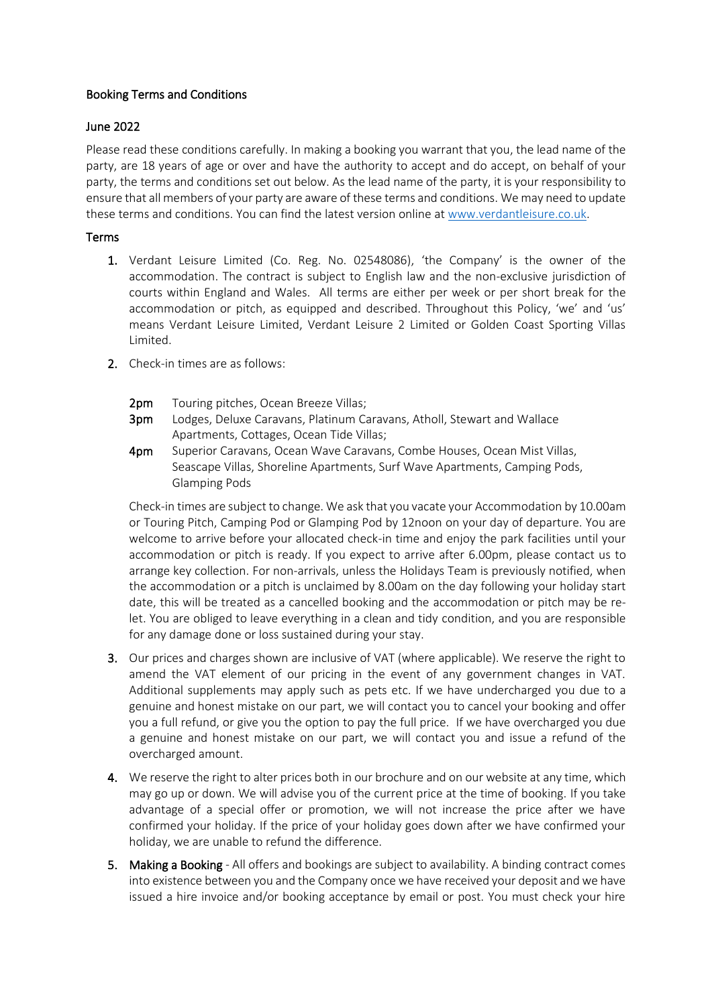# Booking Terms and Conditions

## June 2022

Please read these conditions carefully. In making a booking you warrant that you, the lead name of the party, are 18 years of age or over and have the authority to accept and do accept, on behalf of your party, the terms and conditions set out below. As the lead name of the party, it is your responsibility to ensure that all members of your party are aware of these terms and conditions. We may need to update these terms and conditions. You can find the latest version online a[t www.verdantleisure.co.uk.](http://www.verdantleisure.co.uk/)

## Terms

- 1. Verdant Leisure Limited (Co. Reg. No. 02548086), 'the Company' is the owner of the accommodation. The contract is subject to English law and the non-exclusive jurisdiction of courts within England and Wales. All terms are either per week or per short break for the accommodation or pitch, as equipped and described. Throughout this Policy, 'we' and 'us' means Verdant Leisure Limited, Verdant Leisure 2 Limited or Golden Coast Sporting Villas Limited.
- 2. Check-in times are as follows:
	- 2pm Touring pitches, Ocean Breeze Villas:
	- 3pm Lodges, Deluxe Caravans, Platinum Caravans, Atholl, Stewart and Wallace Apartments, Cottages, Ocean Tide Villas;
	- 4pm Superior Caravans, Ocean Wave Caravans, Combe Houses, Ocean Mist Villas, Seascape Villas, Shoreline Apartments, Surf Wave Apartments, Camping Pods, Glamping Pods

Check-in times are subject to change. We ask that you vacate your Accommodation by 10.00am or Touring Pitch, Camping Pod or Glamping Pod by 12noon on your day of departure. You are welcome to arrive before your allocated check-in time and enjoy the park facilities until your accommodation or pitch is ready. If you expect to arrive after 6.00pm, please contact us to arrange key collection. For non-arrivals, unless the Holidays Team is previously notified, when the accommodation or a pitch is unclaimed by 8.00am on the day following your holiday start date, this will be treated as a cancelled booking and the accommodation or pitch may be relet. You are obliged to leave everything in a clean and tidy condition, and you are responsible for any damage done or loss sustained during your stay.

- 3. Our prices and charges shown are inclusive of VAT (where applicable). We reserve the right to amend the VAT element of our pricing in the event of any government changes in VAT. Additional supplements may apply such as pets etc. If we have undercharged you due to a genuine and honest mistake on our part, we will contact you to cancel your booking and offer you a full refund, or give you the option to pay the full price. If we have overcharged you due a genuine and honest mistake on our part, we will contact you and issue a refund of the overcharged amount.
- 4. We reserve the right to alter prices both in our brochure and on our website at any time, which may go up or down. We will advise you of the current price at the time of booking. If you take advantage of a special offer or promotion, we will not increase the price after we have confirmed your holiday. If the price of your holiday goes down after we have confirmed your holiday, we are unable to refund the difference.
- 5. Making a Booking All offers and bookings are subject to availability. A binding contract comes into existence between you and the Company once we have received your deposit and we have issued a hire invoice and/or booking acceptance by email or post. You must check your hire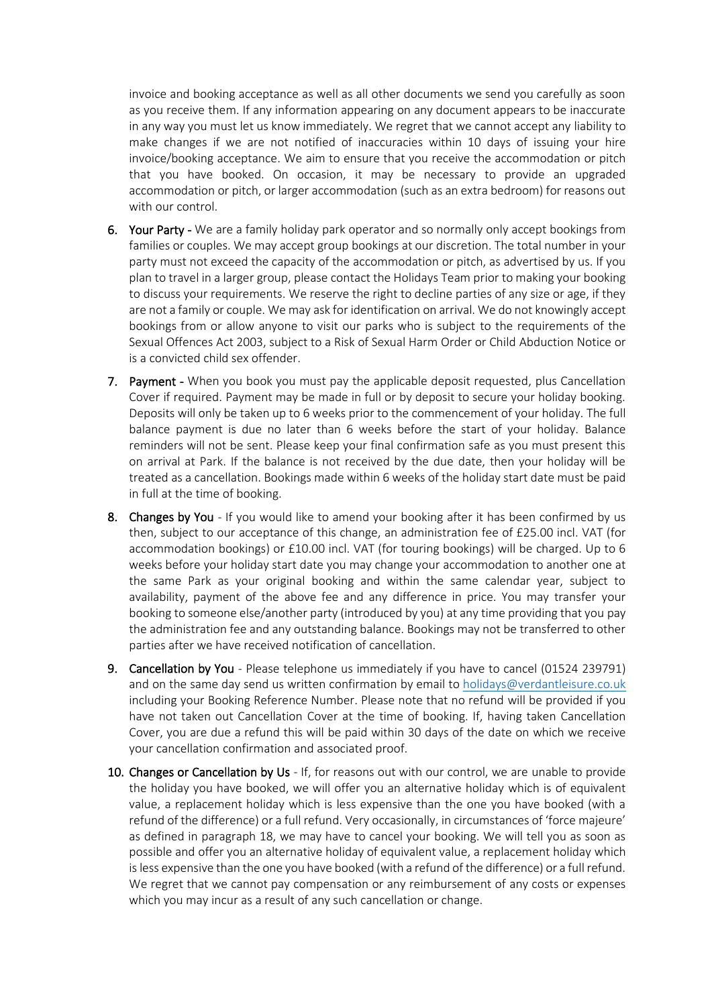invoice and booking acceptance as well as all other documents we send you carefully as soon as you receive them. If any information appearing on any document appears to be inaccurate in any way you must let us know immediately. We regret that we cannot accept any liability to make changes if we are not notified of inaccuracies within 10 days of issuing your hire invoice/booking acceptance. We aim to ensure that you receive the accommodation or pitch that you have booked. On occasion, it may be necessary to provide an upgraded accommodation or pitch, or larger accommodation (such as an extra bedroom) for reasons out with our control.

- 6. Your Party We are a family holiday park operator and so normally only accept bookings from families or couples. We may accept group bookings at our discretion. The total number in your party must not exceed the capacity of the accommodation or pitch, as advertised by us. If you plan to travel in a larger group, please contact the Holidays Team prior to making your booking to discuss your requirements. We reserve the right to decline parties of any size or age, if they are not a family or couple. We may ask for identification on arrival. We do not knowingly accept bookings from or allow anyone to visit our parks who is subject to the requirements of the Sexual Offences Act 2003, subject to a Risk of Sexual Harm Order or Child Abduction Notice or is a convicted child sex offender.
- 7. Payment When you book you must pay the applicable deposit requested, plus Cancellation Cover if required. Payment may be made in full or by deposit to secure your holiday booking. Deposits will only be taken up to 6 weeks prior to the commencement of your holiday. The full balance payment is due no later than 6 weeks before the start of your holiday. Balance reminders will not be sent. Please keep your final confirmation safe as you must present this on arrival at Park. If the balance is not received by the due date, then your holiday will be treated as a cancellation. Bookings made within 6 weeks of the holiday start date must be paid in full at the time of booking.
- 8. Changes by You If you would like to amend your booking after it has been confirmed by us then, subject to our acceptance of this change, an administration fee of £25.00 incl. VAT (for accommodation bookings) or £10.00 incl. VAT (for touring bookings) will be charged. Up to 6 weeks before your holiday start date you may change your accommodation to another one at the same Park as your original booking and within the same calendar year, subject to availability, payment of the above fee and any difference in price. You may transfer your booking to someone else/another party (introduced by you) at any time providing that you pay the administration fee and any outstanding balance. Bookings may not be transferred to other parties after we have received notification of cancellation.
- 9. Cancellation by You Please telephone us immediately if you have to cancel (01524 239791) and on the same day send us written confirmation by email to [holidays@verdantleisure.co.uk](mailto:holidays@verdantleisure.co.uk) including your Booking Reference Number. Please note that no refund will be provided if you have not taken out Cancellation Cover at the time of booking. If, having taken Cancellation Cover, you are due a refund this will be paid within 30 days of the date on which we receive your cancellation confirmation and associated proof.
- 10. Changes or Cancellation by Us If, for reasons out with our control, we are unable to provide the holiday you have booked, we will offer you an alternative holiday which is of equivalent value, a replacement holiday which is less expensive than the one you have booked (with a refund of the difference) or a full refund. Very occasionally, in circumstances of 'force majeure' as defined in paragraph 18, we may have to cancel your booking. We will tell you as soon as possible and offer you an alternative holiday of equivalent value, a replacement holiday which is less expensive than the one you have booked (with a refund of the difference) or a full refund. We regret that we cannot pay compensation or any reimbursement of any costs or expenses which you may incur as a result of any such cancellation or change.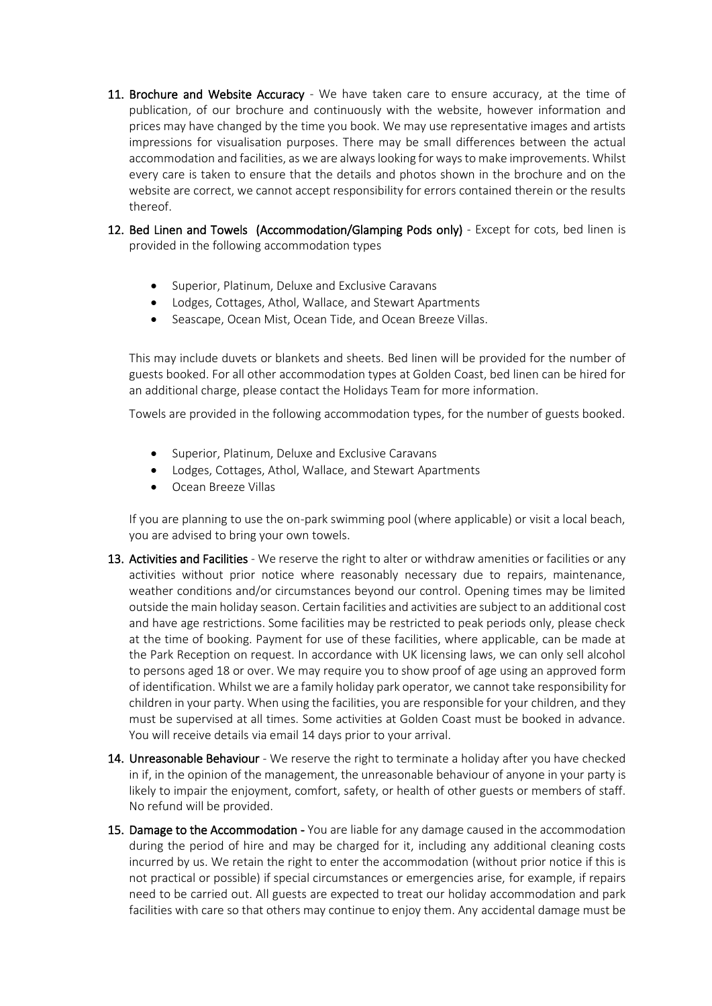- 11. Brochure and Website Accuracy We have taken care to ensure accuracy, at the time of publication, of our brochure and continuously with the website, however information and prices may have changed by the time you book. We may use representative images and artists impressions for visualisation purposes. There may be small differences between the actual accommodation and facilities, as we are always looking for ways to make improvements. Whilst every care is taken to ensure that the details and photos shown in the brochure and on the website are correct, we cannot accept responsibility for errors contained therein or the results thereof.
- 12. Bed Linen and Towels (Accommodation/Glamping Pods only) Except for cots, bed linen is provided in the following accommodation types
	- Superior, Platinum, Deluxe and Exclusive Caravans
	- Lodges, Cottages, Athol, Wallace, and Stewart Apartments
	- Seascape, Ocean Mist, Ocean Tide, and Ocean Breeze Villas.

This may include duvets or blankets and sheets. Bed linen will be provided for the number of guests booked. For all other accommodation types at Golden Coast, bed linen can be hired for an additional charge, please contact the Holidays Team for more information.

Towels are provided in the following accommodation types, for the number of guests booked.

- Superior, Platinum, Deluxe and Exclusive Caravans
- Lodges, Cottages, Athol, Wallace, and Stewart Apartments
- Ocean Breeze Villas

If you are planning to use the on-park swimming pool (where applicable) or visit a local beach, you are advised to bring your own towels.

- 13. Activities and Facilities We reserve the right to alter or withdraw amenities or facilities or any activities without prior notice where reasonably necessary due to repairs, maintenance, weather conditions and/or circumstances beyond our control. Opening times may be limited outside the main holiday season. Certain facilities and activities are subject to an additional cost and have age restrictions. Some facilities may be restricted to peak periods only, please check at the time of booking. Payment for use of these facilities, where applicable, can be made at the Park Reception on request. In accordance with UK licensing laws, we can only sell alcohol to persons aged 18 or over. We may require you to show proof of age using an approved form of identification. Whilst we are a family holiday park operator, we cannot take responsibility for children in your party. When using the facilities, you are responsible for your children, and they must be supervised at all times. Some activities at Golden Coast must be booked in advance. You will receive details via email 14 days prior to your arrival.
- 14. Unreasonable Behaviour We reserve the right to terminate a holiday after you have checked in if, in the opinion of the management, the unreasonable behaviour of anyone in your party is likely to impair the enjoyment, comfort, safety, or health of other guests or members of staff. No refund will be provided.
- 15. Damage to the Accommodation You are liable for any damage caused in the accommodation during the period of hire and may be charged for it, including any additional cleaning costs incurred by us. We retain the right to enter the accommodation (without prior notice if this is not practical or possible) if special circumstances or emergencies arise, for example, if repairs need to be carried out. All guests are expected to treat our holiday accommodation and park facilities with care so that others may continue to enjoy them. Any accidental damage must be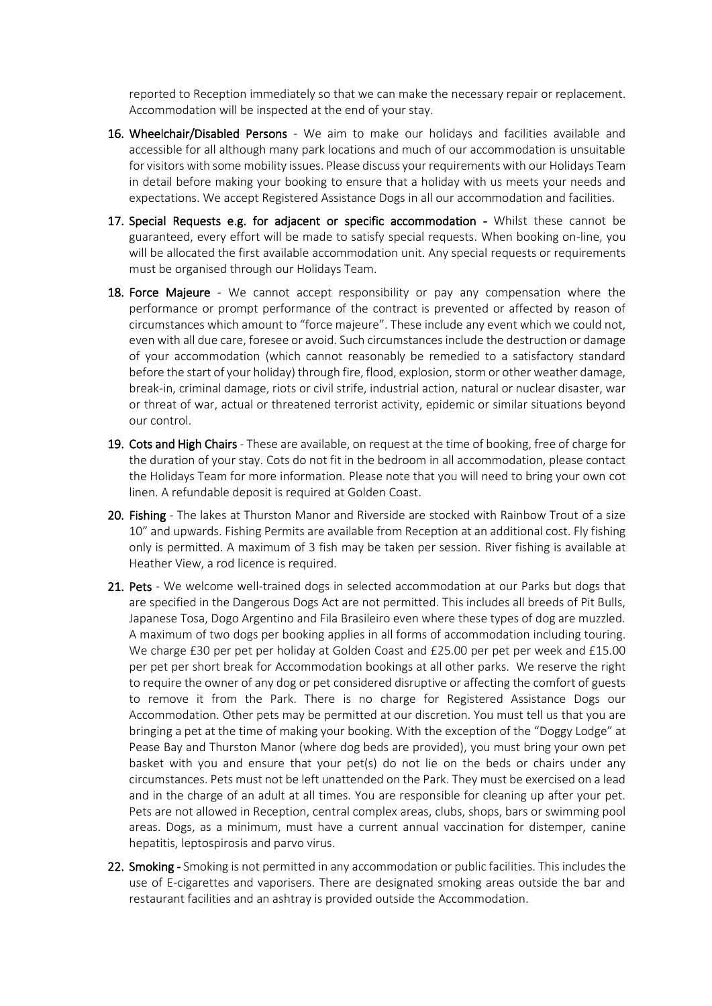reported to Reception immediately so that we can make the necessary repair or replacement. Accommodation will be inspected at the end of your stay.

- 16. Wheelchair/Disabled Persons We aim to make our holidays and facilities available and accessible for all although many park locations and much of our accommodation is unsuitable for visitors with some mobility issues. Please discuss your requirements with our Holidays Team in detail before making your booking to ensure that a holiday with us meets your needs and expectations. We accept Registered Assistance Dogs in all our accommodation and facilities.
- 17. Special Requests e.g. for adjacent or specific accommodation Whilst these cannot be guaranteed, every effort will be made to satisfy special requests. When booking on-line, you will be allocated the first available accommodation unit. Any special requests or requirements must be organised through our Holidays Team.
- 18. Force Majeure We cannot accept responsibility or pay any compensation where the performance or prompt performance of the contract is prevented or affected by reason of circumstances which amount to "force majeure". These include any event which we could not, even with all due care, foresee or avoid. Such circumstances include the destruction or damage of your accommodation (which cannot reasonably be remedied to a satisfactory standard before the start of your holiday) through fire, flood, explosion, storm or other weather damage, break-in, criminal damage, riots or civil strife, industrial action, natural or nuclear disaster, war or threat of war, actual or threatened terrorist activity, epidemic or similar situations beyond our control.
- 19. Cots and High Chairs These are available, on request at the time of booking, free of charge for the duration of your stay. Cots do not fit in the bedroom in all accommodation, please contact the Holidays Team for more information. Please note that you will need to bring your own cot linen. A refundable deposit is required at Golden Coast.
- 20. Fishing The lakes at Thurston Manor and Riverside are stocked with Rainbow Trout of a size 10" and upwards. Fishing Permits are available from Reception at an additional cost. Fly fishing only is permitted. A maximum of 3 fish may be taken per session. River fishing is available at Heather View, a rod licence is required.
- 21. Pets We welcome well-trained dogs in selected accommodation at our Parks but dogs that are specified in the Dangerous Dogs Act are not permitted. This includes all breeds of Pit Bulls, Japanese Tosa, Dogo Argentino and Fila Brasileiro even where these types of dog are muzzled. A maximum of two dogs per booking applies in all forms of accommodation including touring. We charge £30 per pet per holiday at Golden Coast and £25.00 per pet per week and £15.00 per pet per short break for Accommodation bookings at all other parks. We reserve the right to require the owner of any dog or pet considered disruptive or affecting the comfort of guests to remove it from the Park. There is no charge for Registered Assistance Dogs our Accommodation. Other pets may be permitted at our discretion. You must tell us that you are bringing a pet at the time of making your booking. With the exception of the "Doggy Lodge" at Pease Bay and Thurston Manor (where dog beds are provided), you must bring your own pet basket with you and ensure that your pet(s) do not lie on the beds or chairs under any circumstances. Pets must not be left unattended on the Park. They must be exercised on a lead and in the charge of an adult at all times. You are responsible for cleaning up after your pet. Pets are not allowed in Reception, central complex areas, clubs, shops, bars or swimming pool areas. Dogs, as a minimum, must have a current annual vaccination for distemper, canine hepatitis, leptospirosis and parvo virus.
- 22. Smoking Smoking is not permitted in any accommodation or public facilities. This includes the use of E-cigarettes and vaporisers. There are designated smoking areas outside the bar and restaurant facilities and an ashtray is provided outside the Accommodation.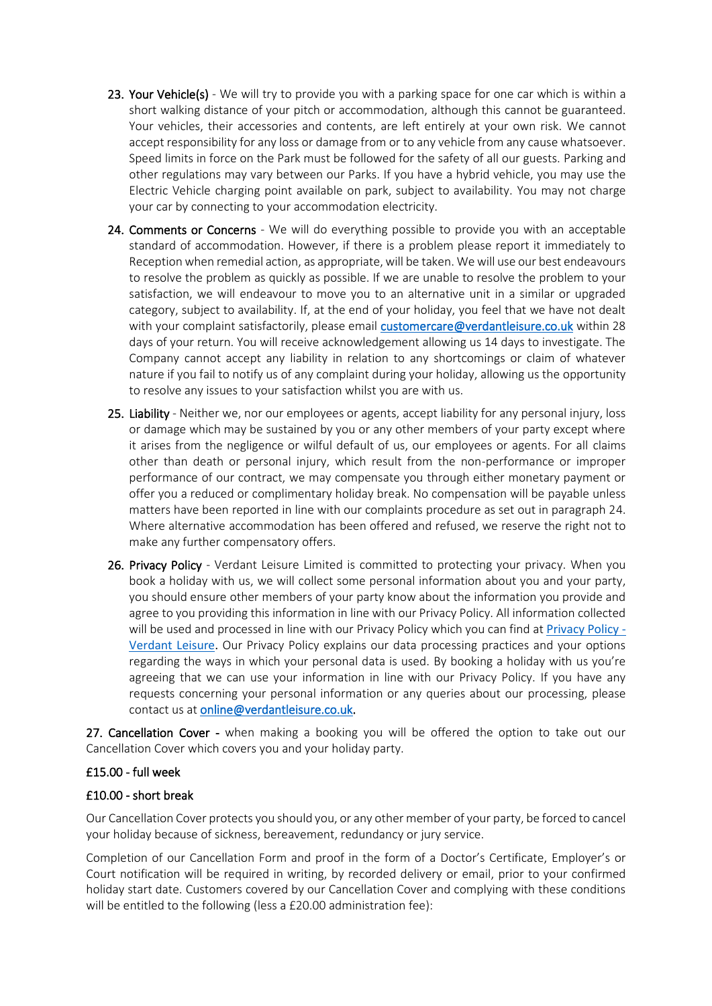- 23. Your Vehicle(s) We will try to provide you with a parking space for one car which is within a short walking distance of your pitch or accommodation, although this cannot be guaranteed. Your vehicles, their accessories and contents, are left entirely at your own risk. We cannot accept responsibility for any loss or damage from or to any vehicle from any cause whatsoever. Speed limits in force on the Park must be followed for the safety of all our guests. Parking and other regulations may vary between our Parks. If you have a hybrid vehicle, you may use the Electric Vehicle charging point available on park, subject to availability. You may not charge your car by connecting to your accommodation electricity.
- 24. Comments or Concerns We will do everything possible to provide you with an acceptable standard of accommodation. However, if there is a problem please report it immediately to Reception when remedial action, as appropriate, will be taken. We will use our best endeavours to resolve the problem as quickly as possible. If we are unable to resolve the problem to your satisfaction, we will endeavour to move you to an alternative unit in a similar or upgraded category, subject to availability. If, at the end of your holiday, you feel that we have not dealt with your complaint satisfactorily, please email [customercare@verdantleisure.co.uk](mailto:customercare@verdantleisure.co.uk) within 28 days of your return. You will receive acknowledgement allowing us 14 days to investigate. The Company cannot accept any liability in relation to any shortcomings or claim of whatever nature if you fail to notify us of any complaint during your holiday, allowing us the opportunity to resolve any issues to your satisfaction whilst you are with us.
- 25. Liability Neither we, nor our employees or agents, accept liability for any personal injury, loss or damage which may be sustained by you or any other members of your party except where it arises from the negligence or wilful default of us, our employees or agents. For all claims other than death or personal injury, which result from the non-performance or improper performance of our contract, we may compensate you through either monetary payment or offer you a reduced or complimentary holiday break. No compensation will be payable unless matters have been reported in line with our complaints procedure as set out in paragraph 24. Where alternative accommodation has been offered and refused, we reserve the right not to make any further compensatory offers.
- 26. Privacy Policy Verdant Leisure Limited is committed to protecting your privacy. When you book a holiday with us, we will collect some personal information about you and your party, you should ensure other members of your party know about the information you provide and agree to you providing this information in line with our Privacy Policy. All information collected will be used and processed in line with our Privacy Policy which you can find at [Privacy Policy -](https://www.verdantleisure.co.uk/privacy-policy/) [Verdant Leisure.](https://www.verdantleisure.co.uk/privacy-policy/) Our Privacy Policy explains our data processing practices and your options regarding the ways in which your personal data is used. By booking a holiday with us you're agreeing that we can use your information in line with our Privacy Policy. If you have any requests concerning your personal information or any queries about our processing, please contact us a[t online@verdantleisure.co.uk.](mailto:info@verdantleisure.co.uk)

27. Cancellation Cover - when making a booking you will be offered the option to take out our Cancellation Cover which covers you and your holiday party.

### £15.00 - full week

### £10.00 - short break

Our Cancellation Cover protects you should you, or any other member of your party, be forced to cancel your holiday because of sickness, bereavement, redundancy or jury service.

Completion of our Cancellation Form and proof in the form of a Doctor's Certificate, Employer's or Court notification will be required in writing, by recorded delivery or email, prior to your confirmed holiday start date. Customers covered by our Cancellation Cover and complying with these conditions will be entitled to the following (less a £20.00 administration fee):